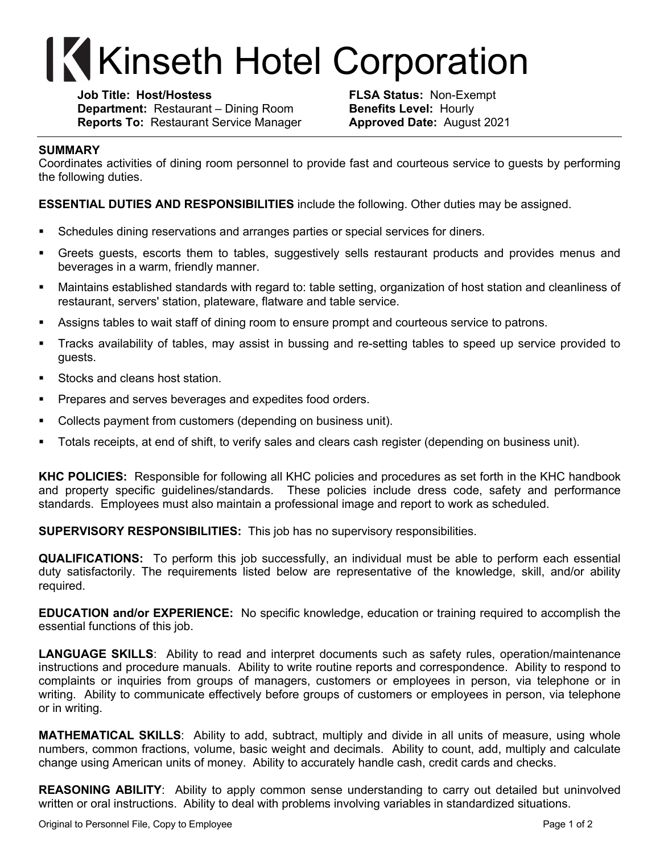## **Kinseth Hotel Corporation**

**Job Title: Host/Hostess FLSA Status:** Non-Exempt **Department:** Restaurant – Dining Room **Benefits Level:** Hourly **Reports To:** Restaurant Service Manager **Approved Date:** August 2021

## **SUMMARY**

Coordinates activities of dining room personnel to provide fast and courteous service to guests by performing the following duties.

**ESSENTIAL DUTIES AND RESPONSIBILITIES** include the following. Other duties may be assigned.

- § Schedules dining reservations and arranges parties or special services for diners.
- § Greets guests, escorts them to tables, suggestively sells restaurant products and provides menus and beverages in a warm, friendly manner.
- § Maintains established standards with regard to: table setting, organization of host station and cleanliness of restaurant, servers' station, plateware, flatware and table service.
- **•** Assigns tables to wait staff of dining room to ensure prompt and courteous service to patrons.
- § Tracks availability of tables, may assist in bussing and re-setting tables to speed up service provided to guests.
- Stocks and cleans host station.
- Prepares and serves beverages and expedites food orders.
- § Collects payment from customers (depending on business unit).
- § Totals receipts, at end of shift, to verify sales and clears cash register (depending on business unit).

**KHC POLICIES:** Responsible for following all KHC policies and procedures as set forth in the KHC handbook and property specific guidelines/standards. These policies include dress code, safety and performance standards. Employees must also maintain a professional image and report to work as scheduled.

**SUPERVISORY RESPONSIBILITIES:** This job has no supervisory responsibilities.

**QUALIFICATIONS:** To perform this job successfully, an individual must be able to perform each essential duty satisfactorily. The requirements listed below are representative of the knowledge, skill, and/or ability required.

**EDUCATION and/or EXPERIENCE:** No specific knowledge, education or training required to accomplish the essential functions of this job.

**LANGUAGE SKILLS**: Ability to read and interpret documents such as safety rules, operation/maintenance instructions and procedure manuals. Ability to write routine reports and correspondence. Ability to respond to complaints or inquiries from groups of managers, customers or employees in person, via telephone or in writing. Ability to communicate effectively before groups of customers or employees in person, via telephone or in writing.

**MATHEMATICAL SKILLS**: Ability to add, subtract, multiply and divide in all units of measure, using whole numbers, common fractions, volume, basic weight and decimals. Ability to count, add, multiply and calculate change using American units of money. Ability to accurately handle cash, credit cards and checks.

**REASONING ABILITY**: Ability to apply common sense understanding to carry out detailed but uninvolved written or oral instructions. Ability to deal with problems involving variables in standardized situations.